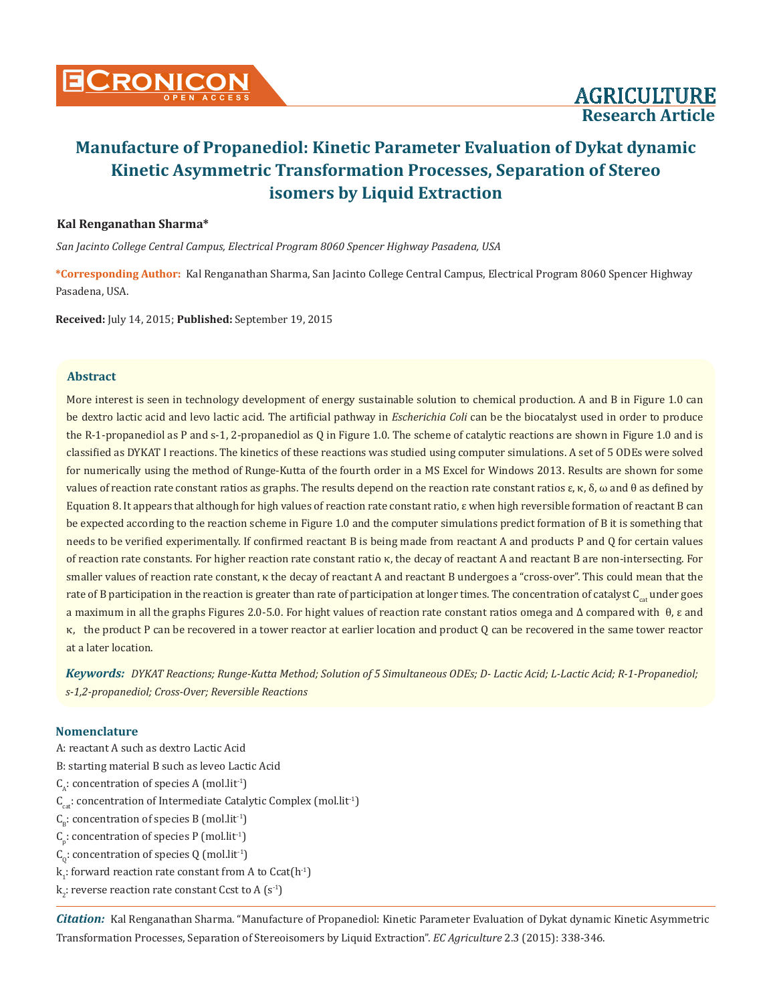

# **Kal Renganathan Sharma\***

*San Jacinto College Central Campus, Electrical Program 8060 Spencer Highway Pasadena, USA*

**\*Corresponding Author:** Kal Renganathan Sharma, San Jacinto College Central Campus, Electrical Program 8060 Spencer Highway Pasadena, USA.

**Received:** July 14, 2015; **Published:** September 19, 2015

## **Abstract**

More interest is seen in technology development of energy sustainable solution to chemical production. A and B in Figure 1.0 can be dextro lactic acid and levo lactic acid. The artificial pathway in *Escherichia Coli* can be the biocatalyst used in order to produce the R-1-propanediol as P and s-1, 2-propanediol as Q in Figure 1.0. The scheme of catalytic reactions are shown in Figure 1.0 and is classified as DYKAT I reactions. The kinetics of these reactions was studied using computer simulations. A set of 5 ODEs were solved for numerically using the method of Runge-Kutta of the fourth order in a MS Excel for Windows 2013. Results are shown for some values of reaction rate constant ratios as graphs. The results depend on the reaction rate constant ratios  $ε$ ,  $κ$ ,  $δ$ , ω and  $θ$  as defined by Equation 8. It appears that although for high values of reaction rate constant ratio, ε when high reversible formation of reactant B can be expected according to the reaction scheme in Figure 1.0 and the computer simulations predict formation of B it is something that needs to be verified experimentally. If confirmed reactant B is being made from reactant A and products P and Q for certain values of reaction rate constants. For higher reaction rate constant ratio κ, the decay of reactant A and reactant B are non-intersecting. For smaller values of reaction rate constant, κ the decay of reactant A and reactant B undergoes a "cross-over". This could mean that the rate of B participation in the reaction is greater than rate of participation at longer times. The concentration of catalyst C<sub>q</sub> under goes a maximum in all the graphs Figures 2.0-5.0. For hight values of reaction rate constant ratios omega and ∆ compared with θ, ε and κ, the product P can be recovered in a tower reactor at earlier location and product Q can be recovered in the same tower reactor at a later location.

*Keywords: DYKAT Reactions; Runge-Kutta Method; Solution of 5 Simultaneous ODEs; D- Lactic Acid; L-Lactic Acid; R-1-Propanediol; s-1,2-propanediol; Cross-Over; Reversible Reactions*

# **Nomenclature**

A: reactant A such as dextro Lactic Acid B: starting material B such as leveo Lactic Acid  $C_{\alpha}$ : concentration of species A (mol.lit<sup>-1</sup>)  $C_{\text{cat}}$ : concentration of Intermediate Catalytic Complex (mol.lit<sup>-1</sup>)  $C_{\rm B}$ : concentration of species B (mol.lit<sup>-1</sup>)  $C_p$ : concentration of species P (mol.lit<sup>-1</sup>)  $C_0$ : concentration of species Q (mol.lit<sup>-1</sup>)  $k_1$ : forward reaction rate constant from A to Ccat $(h^{-1})$  $\mathbf{k}_2$ : reverse reaction rate constant Ccst to A (s<sup>-1</sup>)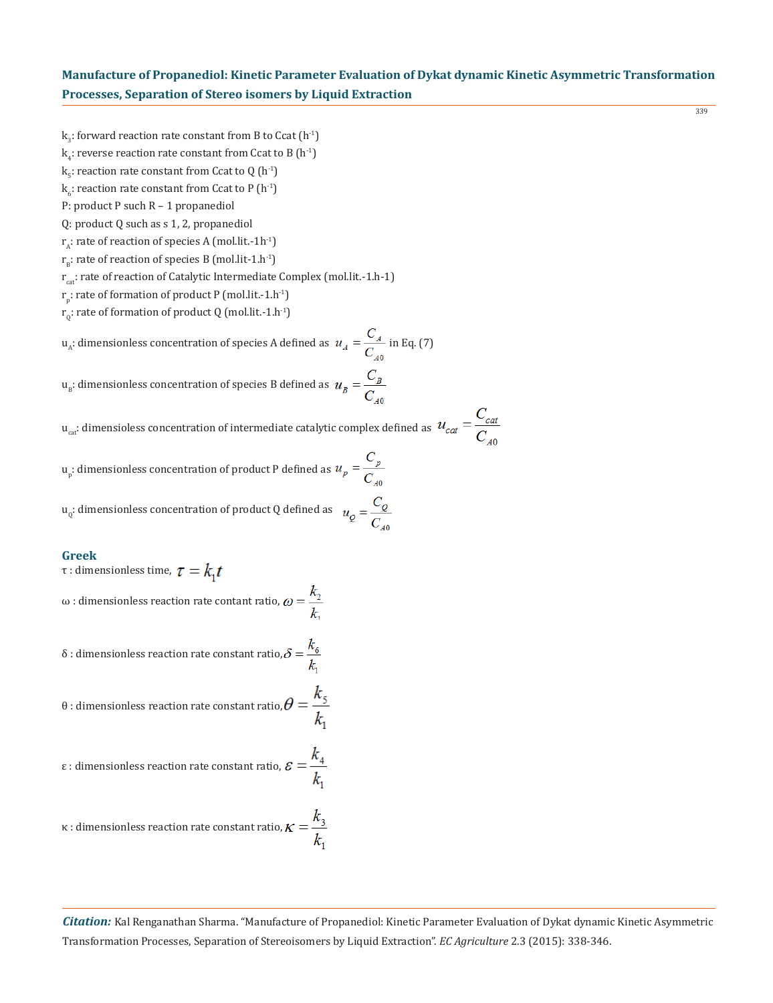- $k_3$ : forward reaction rate constant from B to Ccat  $(h^{-1})$
- $\mathrm{k}_4$ : reverse reaction rate constant from Ccat to B  $(\mathrm{h}^{\text{-}1})$
- $k_{5}$ : reaction rate constant from Ccat to Q (h<sup>-1</sup>)
- $\mathbf{k}_6$ : reaction rate constant from Ccat to P (h<sup>-1</sup>)
- P: product P such R 1 propanediol
- Q: product Q such as s 1, 2, propanediol
- $r_{\alpha}$ : rate of reaction of species A (mol.lit.-1h<sup>-1</sup>)
- $r_{B}$ : rate of reaction of species B (mol.lit-1.h<sup>-1</sup>)
- r<sub>cat</sub>: rate of reaction of Catalytic Intermediate Complex (mol.lit.-1.h-1)
- $r_{\rm p}$ : rate of formation of product P (mol.lit.-1.h<sup>-1</sup>)
- $r_0$ : rate of formation of product Q (mol.lit.-1.h<sup>-1</sup>)

 $u_A$ : dimensionless concentration of species A defined as  $u_A = \frac{C_A}{C_A}$  in Eq. (7)

 $u_{B}$ : dimensionless concentration of species B defined as  $u_{B} = \frac{C_{B}}{C_{B}}$ 

 $u_{\text{cat}}$ : dimensioless concentration of intermediate catalytic complex defined as  $u_{\text{cat}} = \frac{C_{\text{cat}}}{C}$ 

 $\mathfrak{u}_{\mathfrak{p}}$ : dimensionless concentration of product P defined as

 $u_Q$ : dimensionless concentration of product Q defined as  $u_Q = \frac{C_Q}{C_Q}$ 

## **Greek**

τ : dimensionless time,  $τ = k_1 t$ 

ω : dimensionless reaction rate contant ratio,  $ω = \frac{k_2}{l}$ 

δ : dimensionless reaction rate constant ratio,  $\delta = \frac{k_6}{k_1}$ 

θ : dimensionless reaction rate constant ratio, $\theta = \frac{k_5}{k_1}$ 

ε : dimensionless reaction rate constant ratio,  $\mathcal{E} = \frac{k_4}{k_2}$ 

$$
\kappa
$$
: dimensionless reaction rate constant ratio,  $\kappa = \frac{k_3}{k_1}$ 

*Citation:* Kal Renganathan Sharma. "Manufacture of Propanediol: Kinetic Parameter Evaluation of Dykat dynamic Kinetic Asymmetric Transformation Processes, Separation of Stereoisomers by Liquid Extraction". *EC Agriculture* 2.3 (2015): 338-346.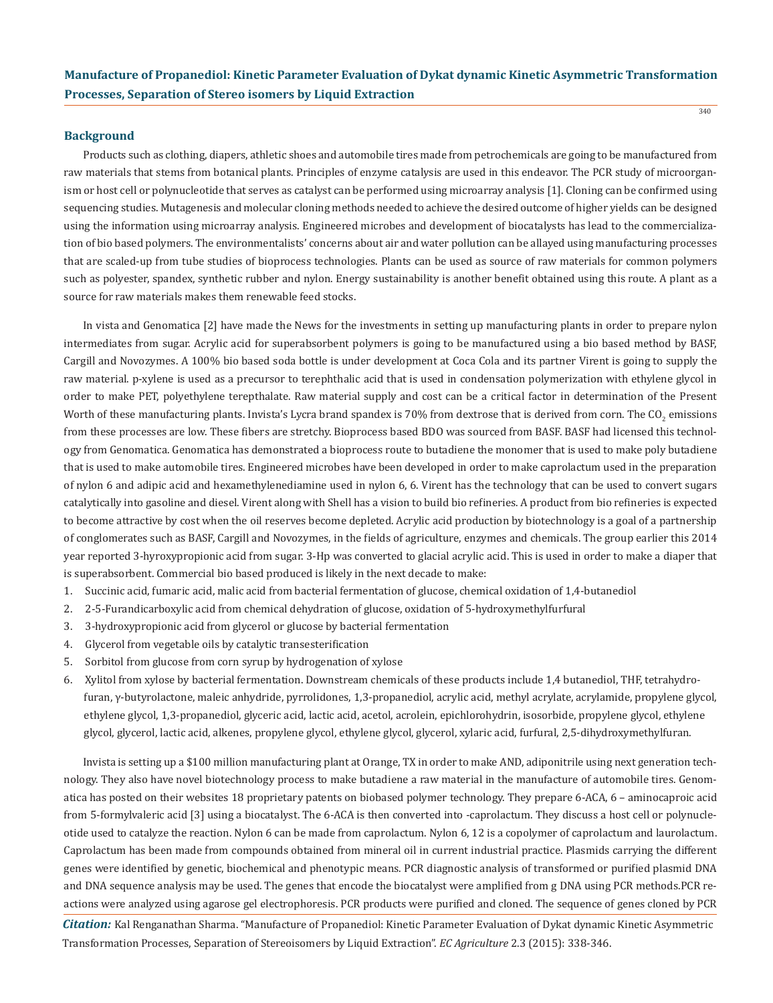#### **Background**

Products such as clothing, diapers, athletic shoes and automobile tires made from petrochemicals are going to be manufactured from raw materials that stems from botanical plants. Principles of enzyme catalysis are used in this endeavor. The PCR study of microorganism or host cell or polynucleotide that serves as catalyst can be performed using microarray analysis [1]. Cloning can be confirmed using sequencing studies. Mutagenesis and molecular cloning methods needed to achieve the desired outcome of higher vields can be designed using the information using microarray analysis. Engineered microbes and development of biocatalysts has lead to the commercialization of bio based polymers. The environmentalists' concerns about air and water pollution can be allayed using manufacturing processes that are scaled-up from tube studies of bioprocess technologies. Plants can be used as source of raw materials for common polymers such as polyester, spandex, synthetic rubber and nylon. Energy sustainability is another benefit obtained using this route. A plant as a source for raw materials makes them renewable feed stocks.

In vista and Genomatica [2] have made the News for the investments in setting up manufacturing plants in order to prepare nylon intermediates from sugar. Acrylic acid for superabsorbent polymers is going to be manufactured using a bio based method by BASF, Cargill and Novozymes. A 100% bio based soda bottle is under development at Coca Cola and its partner Virent is going to supply the raw material. p-xylene is used as a precursor to terephthalic acid that is used in condensation polymerization with ethylene glycol in order to make PET, polyethylene terepthalate. Raw material supply and cost can be a critical factor in determination of the Present Worth of these manufacturing plants. Invista's Lycra brand spandex is 70% from dextrose that is derived from corn. The CO<sub>2</sub> emissions from these processes are low. These fibers are stretchy. Bioprocess based BDO was sourced from BASF. BASF had licensed this technology from Genomatica. Genomatica has demonstrated a bioprocess route to butadiene the monomer that is used to make poly butadiene that is used to make automobile tires. Engineered microbes have been developed in order to make caprolactum used in the preparation of nylon 6 and adipic acid and hexamethylenediamine used in nylon 6, 6. Virent has the technology that can be used to convert sugars catalytically into gasoline and diesel. Virent along with Shell has a vision to build bio refineries. A product from bio refineries is expected to become attractive by cost when the oil reserves become depleted. Acrylic acid production by biotechnology is a goal of a partnership of conglomerates such as BASF, Cargill and Novozymes, in the fields of agriculture, enzymes and chemicals. The group earlier this 2014 year reported 3-hyroxypropionic acid from sugar. 3-Hp was converted to glacial acrylic acid. This is used in order to make a diaper that is superabsorbent. Commercial bio based produced is likely in the next decade to make:

- 1. Succinic acid, fumaric acid, malic acid from bacterial fermentation of glucose, chemical oxidation of 1,4-butanediol
- 2. 2-5-Furandicarboxylic acid from chemical dehydration of glucose, oxidation of 5-hydroxymethylfurfural
- 3. 3-hydroxypropionic acid from glycerol or glucose by bacterial fermentation
- 4. Glycerol from vegetable oils by catalytic transesterification
- 5. Sorbitol from glucose from corn syrup by hydrogenation of xylose
- 6. Xylitol from xylose by bacterial fermentation. Downstream chemicals of these products include 1,4 butanediol, THF, tetrahydro furan, γ-butyrolactone, maleic anhydride, pyrrolidones, 1,3-propanediol, acrylic acid, methyl acrylate, acrylamide, propylene glycol, ethylene glycol, 1,3-propanediol, glyceric acid, lactic acid, acetol, acrolein, epichlorohydrin, isosorbide, propylene glycol, ethylene glycol, glycerol, lactic acid, alkenes, propylene glycol, ethylene glycol, glycerol, xylaric acid, furfural, 2,5-dihydroxymethylfuran.

Invista is setting up a \$100 million manufacturing plant at Orange, TX in order to make AND, adiponitrile using next generation technology. They also have novel biotechnology process to make butadiene a raw material in the manufacture of automobile tires. Genomatica has posted on their websites 18 proprietary patents on biobased polymer technology. They prepare 6-ACA, 6 – aminocaproic acid from 5-formylvaleric acid [3] using a biocatalyst. The 6-ACA is then converted into -caprolactum. They discuss a host cell or polynucleotide used to catalyze the reaction. Nylon 6 can be made from caprolactum. Nylon 6, 12 is a copolymer of caprolactum and laurolactum. Caprolactum has been made from compounds obtained from mineral oil in current industrial practice. Plasmids carrying the different genes were identified by genetic, biochemical and phenotypic means. PCR diagnostic analysis of transformed or purified plasmid DNA and DNA sequence analysis may be used. The genes that encode the biocatalyst were amplified from g DNA using PCR methods.PCR reactions were analyzed using agarose gel electrophoresis. PCR products were purified and cloned. The sequence of genes cloned by PCR

*Citation:* Kal Renganathan Sharma. "Manufacture of Propanediol: Kinetic Parameter Evaluation of Dykat dynamic Kinetic Asymmetric Transformation Processes, Separation of Stereoisomers by Liquid Extraction". *EC Agriculture* 2.3 (2015): 338-346.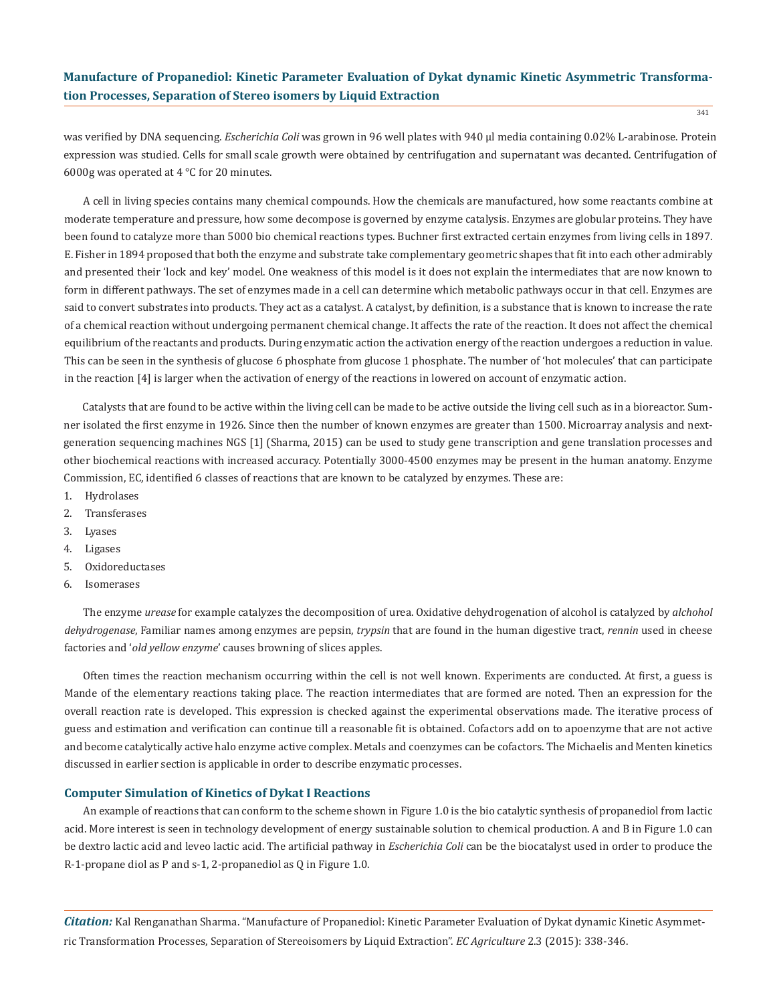was verified by DNA sequencing. *Escherichia Coli* was grown in 96 well plates with 940 µl media containing 0.02% L-arabinose. Protein expression was studied. Cells for small scale growth were obtained by centrifugation and supernatant was decanted. Centrifugation of 6000g was operated at 4 °C for 20 minutes.

A cell in living species contains many chemical compounds. How the chemicals are manufactured, how some reactants combine at moderate temperature and pressure, how some decompose is governed by enzyme catalysis. Enzymes are globular proteins. They have been found to catalyze more than 5000 bio chemical reactions types. Buchner first extracted certain enzymes from living cells in 1897. E. Fisher in 1894 proposed that both the enzyme and substrate take complementary geometric shapes that fit into each other admirably and presented their 'lock and key' model. One weakness of this model is it does not explain the intermediates that are now known to form in different pathways. The set of enzymes made in a cell can determine which metabolic pathways occur in that cell. Enzymes are said to convert substrates into products. They act as a catalyst. A catalyst, by definition, is a substance that is known to increase the rate of a chemical reaction without undergoing permanent chemical change. It affects the rate of the reaction. It does not affect the chemical equilibrium of the reactants and products. During enzymatic action the activation energy of the reaction undergoes a reduction in value. This can be seen in the synthesis of glucose 6 phosphate from glucose 1 phosphate. The number of 'hot molecules' that can participate in the reaction [4] is larger when the activation of energy of the reactions in lowered on account of enzymatic action.

Catalysts that are found to be active within the living cell can be made to be active outside the living cell such as in a bioreactor. Sumner isolated the first enzyme in 1926. Since then the number of known enzymes are greater than 1500. Microarray analysis and nextgeneration sequencing machines NGS [1] (Sharma, 2015) can be used to study gene transcription and gene translation processes and other biochemical reactions with increased accuracy. Potentially 3000-4500 enzymes may be present in the human anatomy. Enzyme Commission, EC, identified 6 classes of reactions that are known to be catalyzed by enzymes. These are:

- 1. Hydrolases
- 2. Transferases
- 3. Lyases
- 4. Ligases
- 5. Oxidoreductases
- 6. Isomerases

The enzyme *urease* for example catalyzes the decomposition of urea. Oxidative dehydrogenation of alcohol is catalyzed by *alchohol dehydrogenase*, Familiar names among enzymes are pepsin, *trypsin* that are found in the human digestive tract, *rennin* used in cheese factories and '*old yellow enzyme*' causes browning of slices apples.

Often times the reaction mechanism occurring within the cell is not well known. Experiments are conducted. At first, a guess is Mande of the elementary reactions taking place. The reaction intermediates that are formed are noted. Then an expression for the overall reaction rate is developed. This expression is checked against the experimental observations made. The iterative process of guess and estimation and verification can continue till a reasonable fit is obtained. Cofactors add on to apoenzyme that are not active and become catalytically active halo enzyme active complex. Metals and coenzymes can be cofactors. The Michaelis and Menten kinetics discussed in earlier section is applicable in order to describe enzymatic processes.

#### **Computer Simulation of Kinetics of Dykat I Reactions**

An example of reactions that can conform to the scheme shown in Figure 1.0 is the bio catalytic synthesis of propanediol from lactic acid. More interest is seen in technology development of energy sustainable solution to chemical production. A and B in Figure 1.0 can be dextro lactic acid and leveo lactic acid. The artificial pathway in *Escherichia Coli* can be the biocatalyst used in order to produce the R-1-propane diol as P and s-1, 2-propanediol as Q in Figure 1.0.

*Citation:* Kal Renganathan Sharma. "Manufacture of Propanediol: Kinetic Parameter Evaluation of Dykat dynamic Kinetic Asymmetric Transformation Processes, Separation of Stereoisomers by Liquid Extraction". *EC Agriculture* 2.3 (2015): 338-346.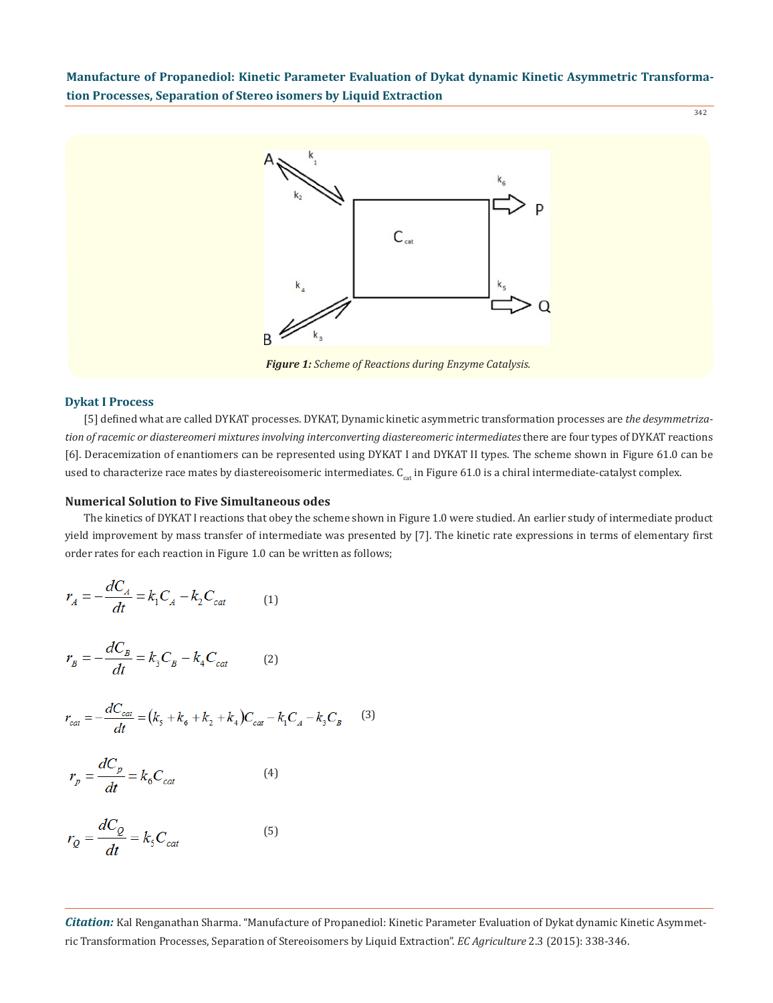

*Figure 1: Scheme of Reactions during Enzyme Catalysis.*

#### **Dykat I Process**

[5] defined what are called DYKAT processes. DYKAT, Dynamic kinetic asymmetric transformation processes are *the desymmetrization of racemic or diastereomeri mixtures involving interconverting diastereomeric intermediates* there are four types of DYKAT reactions [6]. Deracemization of enantiomers can be represented using DYKAT I and DYKAT II types. The scheme shown in Figure 61.0 can be used to characterize race mates by diastereoisomeric intermediates.  $C_{cat}$  in Figure 61.0 is a chiral intermediate-catalyst complex.

#### **Numerical Solution to Five Simultaneous odes**

The kinetics of DYKAT I reactions that obey the scheme shown in Figure 1.0 were studied. An earlier study of intermediate product yield improvement by mass transfer of intermediate was presented by [7]. The kinetic rate expressions in terms of elementary first order rates for each reaction in Figure 1.0 can be written as follows;

$$
r_A = -\frac{dC_A}{dt} = k_1 C_A - k_2 C_{cat} \tag{1}
$$

$$
r_B = -\frac{dC_B}{dt} = k_3 C_B - k_4 C_{cat}
$$
 (2)

$$
r_{cat} = -\frac{dC_{cat}}{dt} = (k_s + k_6 + k_2 + k_4)C_{cat} - k_1C_A - k_3C_B
$$
 (3)

$$
r_p = \frac{dC_p}{dt} = k_6 C_{cat}
$$
 (4)

$$
r_Q = \frac{dC_Q}{dt} = k_s C_{cat} \tag{5}
$$

*Citation:* Kal Renganathan Sharma. "Manufacture of Propanediol: Kinetic Parameter Evaluation of Dykat dynamic Kinetic Asymmetric Transformation Processes, Separation of Stereoisomers by Liquid Extraction". *EC Agriculture* 2.3 (2015): 338-346.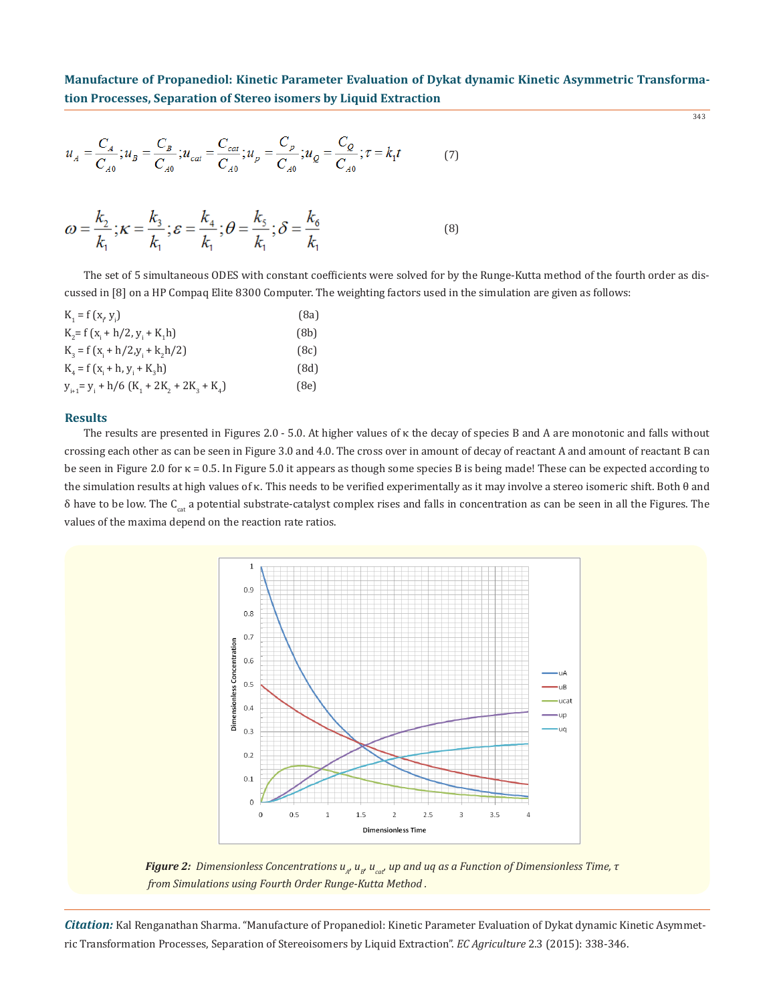343

$$
u_A = \frac{C_A}{C_{A0}}; u_B = \frac{C_B}{C_{A0}}; u_{cat} = \frac{C_{cat}}{C_{A0}}; u_p = \frac{C_p}{C_{A0}}; u_q = \frac{C_Q}{C_{A0}}; \tau = k_1 t
$$
 (7)

$$
\omega = \frac{k_2}{k_1}; \kappa = \frac{k_3}{k_1}; \varepsilon = \frac{k_4}{k_1}; \theta = \frac{k_5}{k_1}; \delta = \frac{k_6}{k_1}
$$
(8)

The set of 5 simultaneous ODES with constant coefficients were solved for by the Runge-Kutta method of the fourth order as discussed in [8] on a HP Compaq Elite 8300 Computer. The weighting factors used in the simulation are given as follows:

| $K_i = f(x_i, y_i)$                             | (8a) |
|-------------------------------------------------|------|
| $K_2 = f(x_1 + h/2, y_1 + K_1h)$                | (8b) |
| $K_3 = f(x_1 + h/2, y_1 + k_2h/2)$              | (8c) |
| $K_{4} = f(x_{i} + h, y_{i} + K_{2}h)$          | (8d) |
| $y_{i+1} = y_i + h/6 (K_1 + 2K_2 + 2K_3 + K_4)$ | (8e) |

## **Results**

The results are presented in Figures 2.0 - 5.0. At higher values of κ the decay of species B and A are monotonic and falls without crossing each other as can be seen in Figure 3.0 and 4.0. The cross over in amount of decay of reactant A and amount of reactant B can be seen in Figure 2.0 for κ = 0.5. In Figure 5.0 it appears as though some species B is being made! These can be expected according to the simulation results at high values of κ. This needs to be verified experimentally as it may involve a stereo isomeric shift. Both θ and  $\delta$  have to be low. The C<sub>cat</sub> a potential substrate-catalyst complex rises and falls in concentration as can be seen in all the Figures. The values of the maxima depend on the reaction rate ratios.



*Figure 2: Dimensionless Concentrations u<sub>n</sub>, u<sub>p</sub>, u<sub>cat</sub>, up and uq as a Function of Dimensionless Time, τ from Simulations using Fourth Order Runge-Kutta Method .*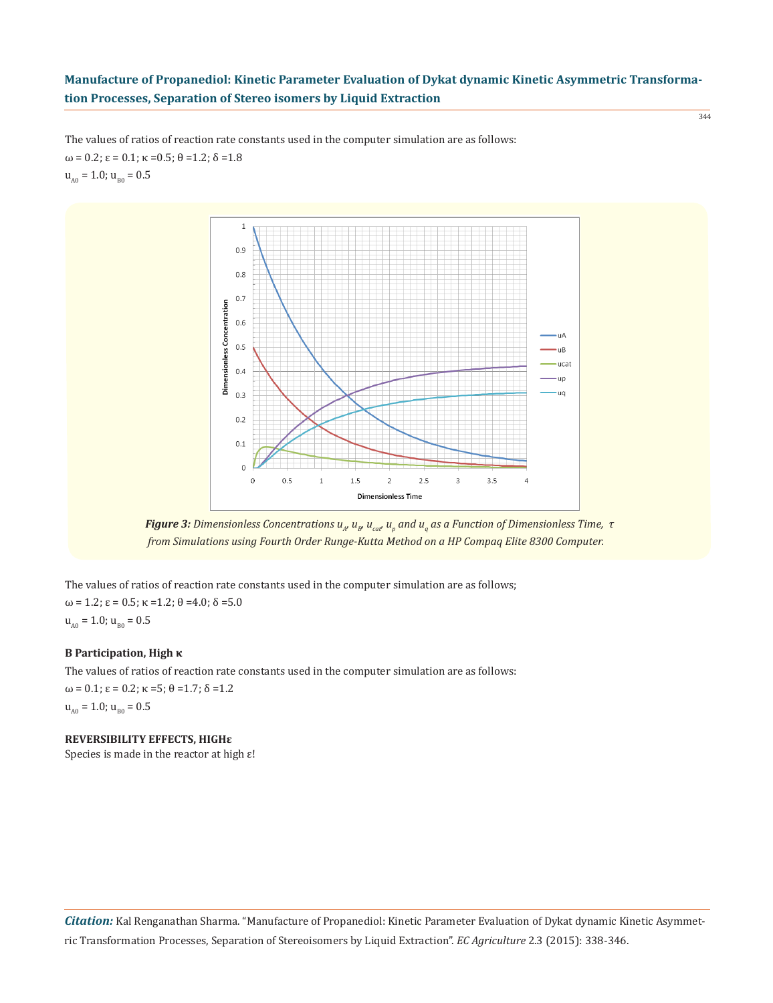344

The values of ratios of reaction rate constants used in the computer simulation are as follows:  $ω = 0.2$ ;  $ε = 0.1$ ;  $κ = 0.5$ ;  $θ = 1.2$ ;  $δ = 1.8$  $u<sub>A0</sub> = 1.0; u<sub>B0</sub> = 0.5$ 



*Figure 3: Dimensionless Concentrations u<sub>n</sub>, u<sub>p</sub>, u<sub>cat</sub>, u<sub>p</sub> and u<sub>q</sub> as a Function of Dimensionless Time, τ from Simulations using Fourth Order Runge-Kutta Method on a HP Compaq Elite 8300 Computer.*

The values of ratios of reaction rate constants used in the computer simulation are as follows;  $ω = 1.2; ε = 0.5; κ = 1.2; θ = 4.0; δ = 5.0$  $u_{A0} = 1.0$ ;  $u_{B0} = 0.5$ 

## **B Participation, High κ**

The values of ratios of reaction rate constants used in the computer simulation are as follows:  $ω = 0.1$ ;  $ε = 0.2$ ;  $κ = 5$ ;  $θ = 1.7$ ;  $δ = 1.2$  $u_{A0} = 1.0$ ;  $u_{B0} = 0.5$ 

**REVERSIBILITY EFFECTS, HIGHε**

Species is made in the reactor at high ε!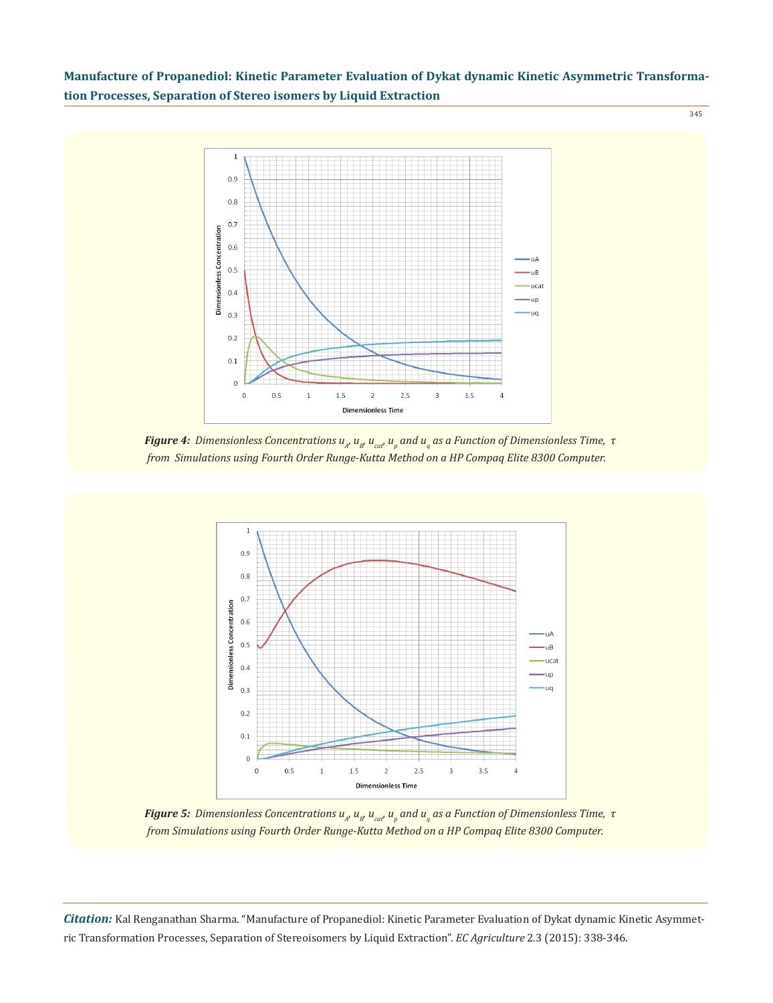345



*Figure 4: Dimensionless Concentrations*  $u_{_A}$  $u_{_B}$  $u_{_{cat}}$  $u_{_p}$  *and*  $u_{_q}$  *as a Function of Dimensionless Time, τ from Simulations using Fourth Order Runge-Kutta Method on a HP Compaq Elite 8300 Computer.*



*Figure 5: Dimensionless Concentrations*  $u_{_A}$  $u_{_B}$  $u_{_{cat}}$  $u_{_p}$  *and*  $u_{_q}$  *as a Function of Dimensionless Time, τ from Simulations using Fourth Order Runge-Kutta Method on a HP Compaq Elite 8300 Computer.*